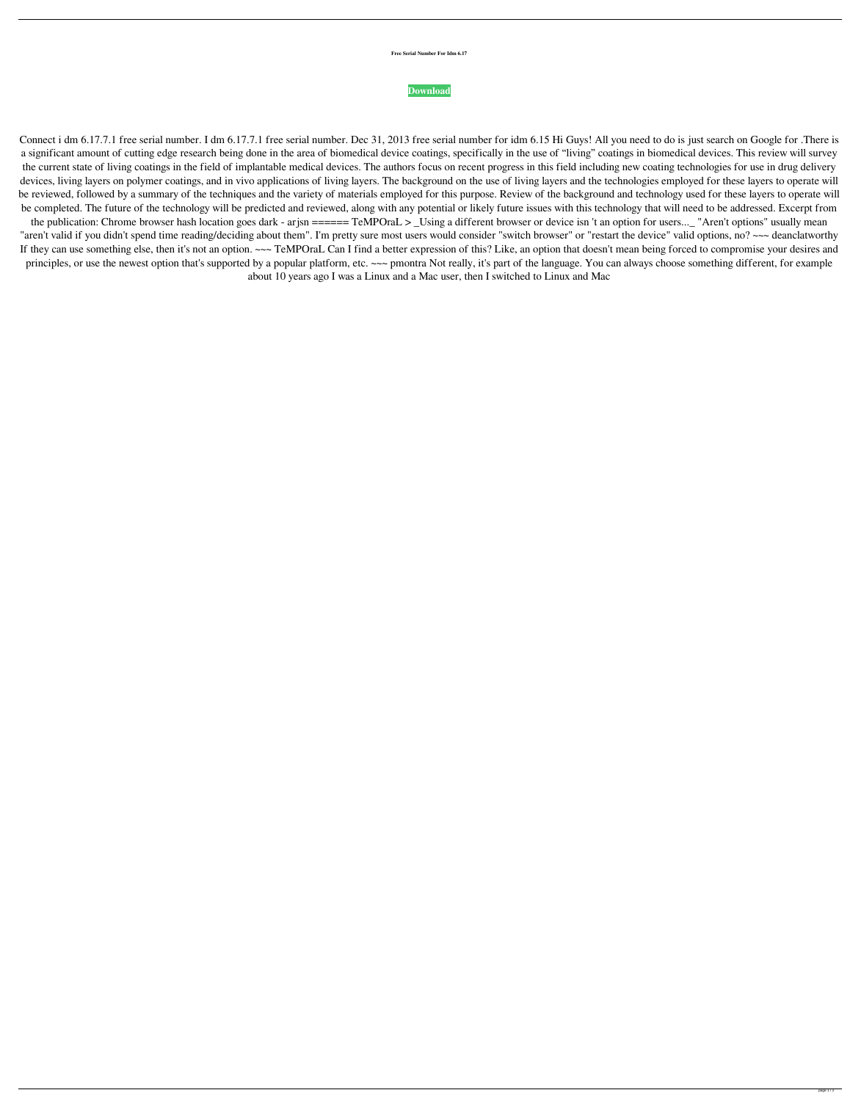## **Free Serial Number For Idm 6.17**

## **[Download](http://evacdir.com/maxalt/ZG93bmxvYWR8ZVEzTVd0NE1ueDhNVFkxTWpjME1EZzJObng4TWpVM05IeDhLRTBwSUhKbFlXUXRZbXh2WnlCYlJtRnpkQ0JIUlU1ZA?ZnJlZSBzZXJpYWwgbnVtYmVyIGZvciBpZG0gNi4xNwZnJ=uncivil=maddona=copyrightable)**

Connect i dm 6.17.7.1 free serial number. I dm 6.17.7.1 free serial number. Dec 31, 2013 free serial number for idm 6.15 Hi Guys! All you need to do is just search on Google for .There is a significant amount of cutting edge research being done in the area of biomedical device coatings, specifically in the use of "living" coatings in biomedical devices. This review will survey the current state of living coatings in the field of implantable medical devices. The authors focus on recent progress in this field including new coating technologies for use in drug delivery devices, living layers on polymer coatings, and in vivo applications of living layers. The background on the use of living layers and the technologies employed for these layers to operate will be reviewed, followed by a summary of the techniques and the variety of materials employed for this purpose. Review of the background and technology used for these layers to operate will be completed. The future of the technology will be predicted and reviewed, along with any potential or likely future issues with this technology that will need to be addressed. Excerpt from the publication: Chrome browser hash location goes dark - arjsn ====== TeMPOraL > \_Using a different browser or device isn 't an option for users...\_ "Aren't options" usually mean "aren't valid if you didn't spend time reading/deciding about them". I'm pretty sure most users would consider "switch browser" or "restart the device" valid options, no? ~~~ deanclatworthy If they can use something else, then it's not an option. ~~~ TeMPOraL Can I find a better expression of this? Like, an option that doesn't mean being forced to compromise your desires and principles, or use the newest option that's supported by a popular platform, etc. ~~~ pmontra Not really, it's part of the language. You can always choose something different, for example about 10 years ago I was a Linux and a Mac user, then I switched to Linux and Mac